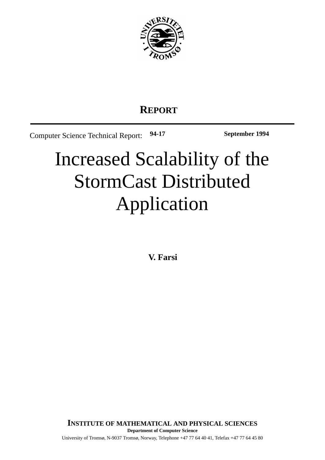

# **REPORT**

Computer Science Technical Report: **94-17 September 1994**

# Increased Scalability of the StormCast Distributed Application

**V. Farsi**

University of Tromsø, N-9037 Tromsø, Norway, Telephone +47 77 64 40 41, Telefax +47 77 64 45 80 **Department of Computer Science INSTITUTE OF MATHEMATICAL AND PHYSICAL SCIENCES**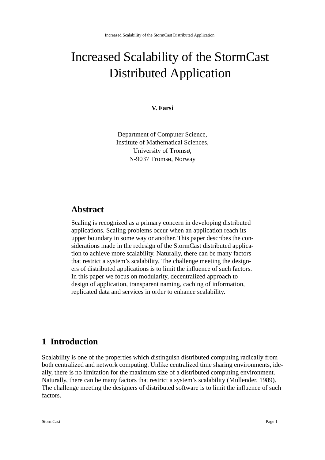# Increased Scalability of the StormCast Distributed Application

#### **V. Farsi**

Department of Computer Science, Institute of Mathematical Sciences, University of Tromsø, N-9037 Tromsø, Norway

### **Abstract**

Scaling is recognized as a primary concern in developing distributed applications. Scaling problems occur when an application reach its upper boundary in some way or another. This paper describes the considerations made in the redesign of the StormCast distributed application to achieve more scalability. Naturally, there can be many factors that restrict a system's scalability. The challenge meeting the designers of distributed applications is to limit the influence of such factors. In this paper we focus on modularity, decentralized approach to design of application, transparent naming, caching of information, replicated data and services in order to enhance scalability.

#### **1 Introduction**

Scalability is one of the properties which distinguish distributed computing radically from both centralized and network computing. Unlike centralized time sharing environments, ideally, there is no limitation for the maximum size of a distributed computing environment. Naturally, there can be many factors that restrict a system's scalability (Mullender, 1989). The challenge meeting the designers of distributed software is to limit the influence of such factors.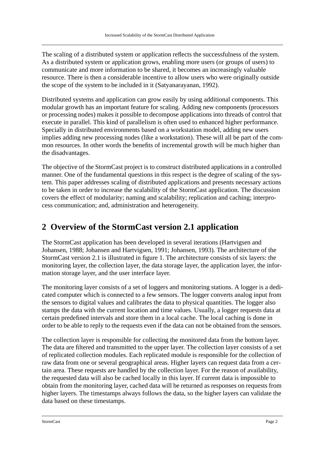The scaling of a distributed system or application reflects the successfulness of the system. As a distributed system or application grows, enabling more users (or groups of users) to communicate and more information to be shared, it becomes an increasingly valuable resource. There is then a considerable incentive to allow users who were originally outside the scope of the system to be included in it (Satyanarayanan, 1992).

Distributed systems and application can grow easily by using additional components. This modular growth has an important feature for scaling. Adding new components (processors or processing nodes) makes it possible to decompose applications into threads of control that execute in parallel. This kind of parallelism is often used to enhanced higher performance. Specially in distributed environments based on a workstation model, adding new users implies adding new processing nodes (like a workstation). These will all be part of the common resources. In other words the benefits of incremental growth will be much higher than the disadvantages.

The objective of the StormCast project is to construct distributed applications in a controlled manner. One of the fundamental questions in this respect is the degree of scaling of the system. This paper addresses scaling of distributed applications and presents necessary actions to be taken in order to increase the scalability of the StormCast application. The discussion covers the effect of modularity; naming and scalability; replication and caching; interprocess communication; and, administration and heterogeneity.

## **2 Overview of the StormCast version 2.1 application**

The StormCast application has been developed in several iterations (Hartvigsen and Johansen, 1988; Johansen and Hartvigsen, 1991; Johansen, 1993). The architecture of the StormCast version 2.1 is illustrated in figure 1. The architecture consists of six layers: the monitoring layer, the collection layer, the data storage layer, the application layer, the information storage layer, and the user interface layer.

The monitoring layer consists of a set of loggers and monitoring stations. A logger is a dedicated computer which is connected to a few sensors. The logger converts analog input from the sensors to digital values and calibrates the data to physical quantities. The logger also stamps the data with the current location and time values. Usually, a logger requests data at certain predefined intervals and store them in a local cache. The local caching is done in order to be able to reply to the requests even if the data can not be obtained from the sensors.

The collection layer is responsible for collecting the monitored data from the bottom layer. The data are filtered and transmitted to the upper layer. The collection layer consists of a set of replicated collection modules. Each replicated module is responsible for the collection of raw data from one or several geographical areas. Higher layers can request data from a certain area. These requests are handled by the collection layer. For the reason of availability, the requested data will also be cached locally in this layer. If current data is impossible to obtain from the monitoring layer, cached data will be returned as responses on requests from higher layers. The timestamps always follows the data, so the higher layers can validate the data based on these timestamps.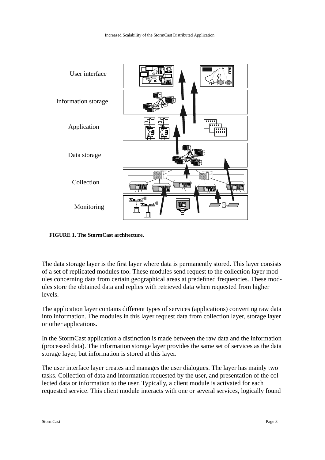

**FIGURE 1. The StormCast architecture.**

The data storage layer is the first layer where data is permanently stored. This layer consists of a set of replicated modules too. These modules send request to the collection layer modules concerning data from certain geographical areas at predefined frequencies. These modules store the obtained data and replies with retrieved data when requested from higher levels.

The application layer contains different types of services (applications) converting raw data into information. The modules in this layer request data from collection layer, storage layer or other applications.

In the StormCast application a distinction is made between the raw data and the information (processed data). The information storage layer provides the same set of services as the data storage layer, but information is stored at this layer.

The user interface layer creates and manages the user dialogues. The layer has mainly two tasks. Collection of data and information requested by the user, and presentation of the collected data or information to the user. Typically, a client module is activated for each requested service. This client module interacts with one or several services, logically found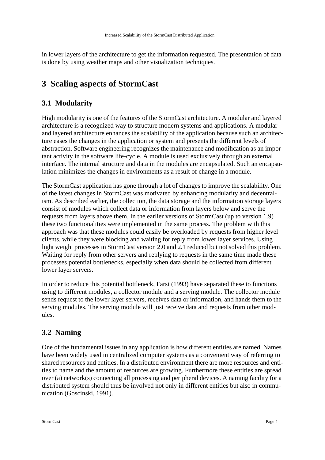in lower layers of the architecture to get the information requested. The presentation of data is done by using weather maps and other visualization techniques.

# **3 Scaling aspects of StormCast**

#### **3.1 Modularity**

High modularity is one of the features of the StormCast architecture. A modular and layered architecture is a recognized way to structure modern systems and applications. A modular and layered architecture enhances the scalability of the application because such an architecture eases the changes in the application or system and presents the different levels of abstraction. Software engineering recognizes the maintenance and modification as an important activity in the software life-cycle. A module is used exclusively through an external interface. The internal structure and data in the modules are encapsulated. Such an encapsulation minimizes the changes in environments as a result of change in a module.

The StormCast application has gone through a lot of changes to improve the scalability. One of the latest changes in StormCast was motivated by enhancing modularity and decentralism. As described earlier, the collection, the data storage and the information storage layers consist of modules which collect data or information from layers below and serve the requests from layers above them. In the earlier versions of StormCast (up to version 1.9) these two functionalities were implemented in the same process. The problem with this approach was that these modules could easily be overloaded by requests from higher level clients, while they were blocking and waiting for reply from lower layer services. Using light weight processes in StormCast version 2.0 and 2.1 reduced but not solved this problem. Waiting for reply from other servers and replying to requests in the same time made these processes potential bottlenecks, especially when data should be collected from different lower layer servers.

In order to reduce this potential bottleneck, Farsi (1993) have separated these to functions using to different modules, a collector module and a serving module. The collector module sends request to the lower layer servers, receives data or information, and hands them to the serving modules. The serving module will just receive data and requests from other modules.

#### **3.2 Naming**

One of the fundamental issues in any application is how different entities are named. Names have been widely used in centralized computer systems as a convenient way of referring to shared resources and entities. In a distributed environment there are more resources and entities to name and the amount of resources are growing. Furthermore these entities are spread over (a) network(s) connecting all processing and peripheral devices. A naming facility for a distributed system should thus be involved not only in different entities but also in communication (Goscinski, 1991).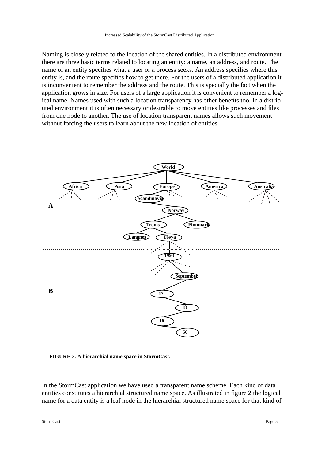Naming is closely related to the location of the shared entities. In a distributed environment there are three basic terms related to locating an entity: a name, an address, and route. The name of an entity specifies what a user or a process seeks. An address specifies where this entity is, and the route specifies how to get there. For the users of a distributed application it is inconvenient to remember the address and the route. This is specially the fact when the application grows in size. For users of a large application it is convenient to remember a logical name. Names used with such a location transparency has other benefits too. In a distributed environment it is often necessary or desirable to move entities like processes and files from one node to another. The use of location transparent names allows such movement without forcing the users to learn about the new location of entities.



**FIGURE 2. A hierarchial name space in StormCast.**

In the StormCast application we have used a transparent name scheme. Each kind of data entities constitutes a hierarchial structured name space. As illustrated in figure 2 the logical name for a data entity is a leaf node in the hierarchial structured name space for that kind of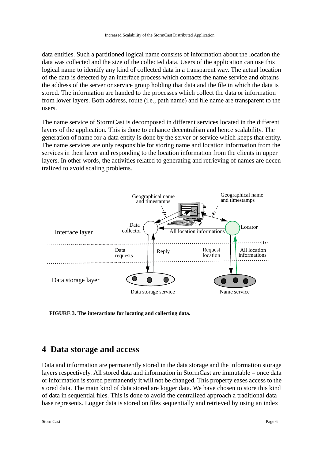data entities. Such a partitioned logical name consists of information about the location the data was collected and the size of the collected data. Users of the application can use this logical name to identify any kind of collected data in a transparent way. The actual location of the data is detected by an interface process which contacts the name service and obtains the address of the server or service group holding that data and the file in which the data is stored. The information are handed to the processes which collect the data or information from lower layers. Both address, route (i.e., path name) and file name are transparent to the users.

The name service of StormCast is decomposed in different services located in the different layers of the application. This is done to enhance decentralism and hence scalability. The generation of name for a data entity is done by the server or service which keeps that entity. The name services are only responsible for storing name and location information from the services in their layer and responding to the location information from the clients in upper layers. In other words, the activities related to generating and retrieving of names are decentralized to avoid scaling problems.



**FIGURE 3. The interactions for locating and collecting data.**

#### **4 Data storage and access**

Data and information are permanently stored in the data storage and the information storage layers respectively. All stored data and information in StormCast are immutable – once data or information is stored permanently it will not be changed. This property eases access to the stored data. The main kind of data stored are logger data. We have chosen to store this kind of data in sequential files. This is done to avoid the centralized approach a traditional data base represents. Logger data is stored on files sequentially and retrieved by using an index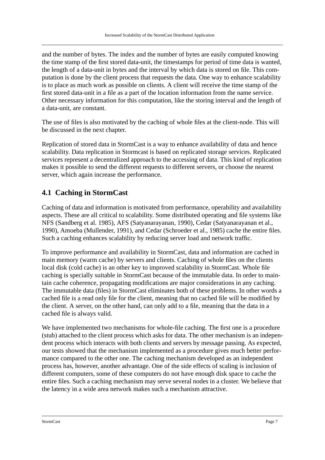and the number of bytes. The index and the number of bytes are easily computed knowing the time stamp of the first stored data-unit, the timestamps for period of time data is wanted, the length of a data-unit in bytes and the interval by which data is stored on file. This computation is done by the client process that requests the data. One way to enhance scalability is to place as much work as possible on clients. A client will receive the time stamp of the first stored data-unit in a file as a part of the location information from the name service. Other necessary information for this computation, like the storing interval and the length of a data-unit, are constant.

The use of files is also motivated by the caching of whole files at the client-node. This will be discussed in the next chapter.

Replication of stored data in StormCast is a way to enhance availability of data and hence scalability. Data replication in Stormcast is based on replicated storage services. Replicated services represent a decentralized approach to the accessing of data. This kind of replication makes it possible to send the different requests to different servers, or choose the nearest server, which again increase the performance.

#### **4.1 Caching in StormCast**

Caching of data and information is motivated from performance, operability and availability aspects. These are all critical to scalability. Some distributed operating and file systems like NFS (Sandberg et al. 1985), AFS (Satyanarayanan, 1990), Cedar (Satyanarayanan et al., 1990), Amoeba (Mullender, 1991), and Cedar (Schroeder et al., 1985) cache the entire files. Such a caching enhances scalability by reducing server load and network traffic.

To improve performance and availability in StormCast, data and information are cached in main memory (warm cache) by servers and clients. Caching of whole files on the clients local disk (cold cache) is an other key to improved scalability in StormCast. Whole file caching is specially suitable in StormCast because of the immutable data. In order to maintain cache coherence, propagating modifications are major considerations in any caching. The immutable data (files) in StormCast eliminates both of these problems. In other words a cached file is a read only file for the client, meaning that no cached file will be modified by the client. A server, on the other hand, can only add to a file, meaning that the data in a cached file is always valid.

We have implemented two mechanisms for whole-file caching. The first one is a procedure (stub) attached to the client process which asks for data. The other mechanism is an independent process which interacts with both clients and servers by message passing. As expected, our tests showed that the mechanism implemented as a procedure gives much better performance compared to the other one. The caching mechanism developed as an independent process has, however, another advantage. One of the side effects of scaling is inclusion of different computers, some of these computers do not have enough disk space to cache the entire files. Such a caching mechanism may serve several nodes in a cluster. We believe that the latency in a wide area network makes such a mechanism attractive.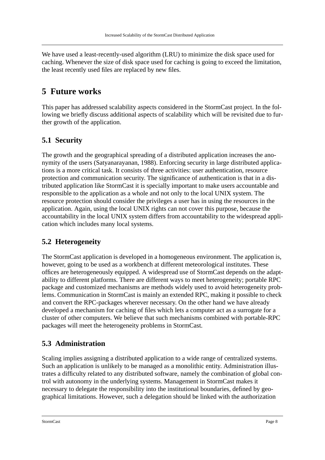We have used a least-recently-used algorithm (LRU) to minimize the disk space used for caching. Whenever the size of disk space used for caching is going to exceed the limitation, the least recently used files are replaced by new files.

#### **5 Future works**

This paper has addressed scalability aspects considered in the StormCast project. In the following we briefly discuss additional aspects of scalability which will be revisited due to further growth of the application.

#### **5.1 Security**

The growth and the geographical spreading of a distributed application increases the anonymity of the users (Satyanarayanan, 1988). Enforcing security in large distributed applications is a more critical task. It consists of three activities: user authentication, resource protection and communication security. The significance of authentication is that in a distributed application like StormCast it is specially important to make users accountable and responsible to the application as a whole and not only to the local UNIX system. The resource protection should consider the privileges a user has in using the resources in the application. Again, using the local UNIX rights can not cover this purpose, because the accountability in the local UNIX system differs from accountability to the widespread application which includes many local systems.

#### **5.2 Heterogeneity**

The StormCast application is developed in a homogeneous environment. The application is, however, going to be used as a workbench at different meteorological institutes. These offices are heterogeneously equipped. A widespread use of StormCast depends on the adaptability to different platforms. There are different ways to meet heterogeneity; portable RPC package and customized mechanisms are methods widely used to avoid heterogeneity problems. Communication in StormCast is mainly an extended RPC, making it possible to check and convert the RPC-packages wherever necessary. On the other hand we have already developed a mechanism for caching of files which lets a computer act as a surrogate for a cluster of other computers. We believe that such mechanisms combined with portable-RPC packages will meet the heterogeneity problems in StormCast.

#### **5.3 Administration**

Scaling implies assigning a distributed application to a wide range of centralized systems. Such an application is unlikely to be managed as a monolithic entity. Administration illustrates a difficulty related to any distributed software, namely the combination of global control with autonomy in the underlying systems. Management in StormCast makes it necessary to delegate the responsibility into the institutional boundaries, defined by geographical limitations. However, such a delegation should be linked with the authorization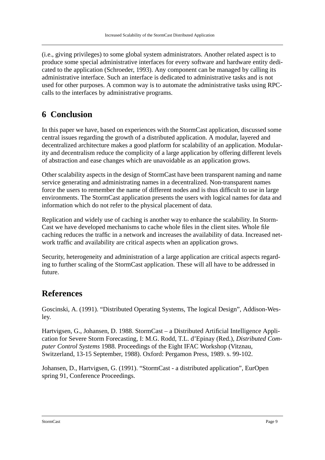(i.e., giving privileges) to some global system administrators. Another related aspect is to produce some special administrative interfaces for every software and hardware entity dedicated to the application (Schroeder, 1993). Any component can be managed by calling its administrative interface. Such an interface is dedicated to administrative tasks and is not used for other purposes. A common way is to automate the administrative tasks using RPCcalls to the interfaces by administrative programs.

# **6 Conclusion**

In this paper we have, based on experiences with the StormCast application, discussed some central issues regarding the growth of a distributed application. A modular, layered and decentralized architecture makes a good platform for scalability of an application. Modularity and decentralism reduce the complicity of a large application by offering different levels of abstraction and ease changes which are unavoidable as an application grows.

Other scalability aspects in the design of StormCast have been transparent naming and name service generating and administrating names in a decentralized. Non-transparent names force the users to remember the name of different nodes and is thus difficult to use in large environments. The StormCast application presents the users with logical names for data and information which do not refer to the physical placement of data.

Replication and widely use of caching is another way to enhance the scalability. In Storm-Cast we have developed mechanisms to cache whole files in the client sites. Whole file caching reduces the traffic in a network and increases the availability of data. Increased network traffic and availability are critical aspects when an application grows.

Security, heterogeneity and administration of a large application are critical aspects regarding to further scaling of the StormCast application. These will all have to be addressed in future.

#### **References**

Goscinski, A. (1991). "Distributed Operating Systems, The logical Design", Addison-Wesley.

Hartvigsen, G., Johansen, D. 1988. StormCast – a Distributed Artificial Intelligence Application for Severe Storm Forecasting, I: M.G. Rodd, T.L. d'Epinay (Red.), *Distributed Computer Control Systems* 1988. Proceedings of the Eight IFAC Workshop (Vitznau, Switzerland, 13-15 September, 1988). Oxford: Pergamon Press, 1989. s. 99-102.

Johansen, D., Hartvigsen, G. (1991). "StormCast - a distributed application", EurOpen spring 91, Conference Proceedings.